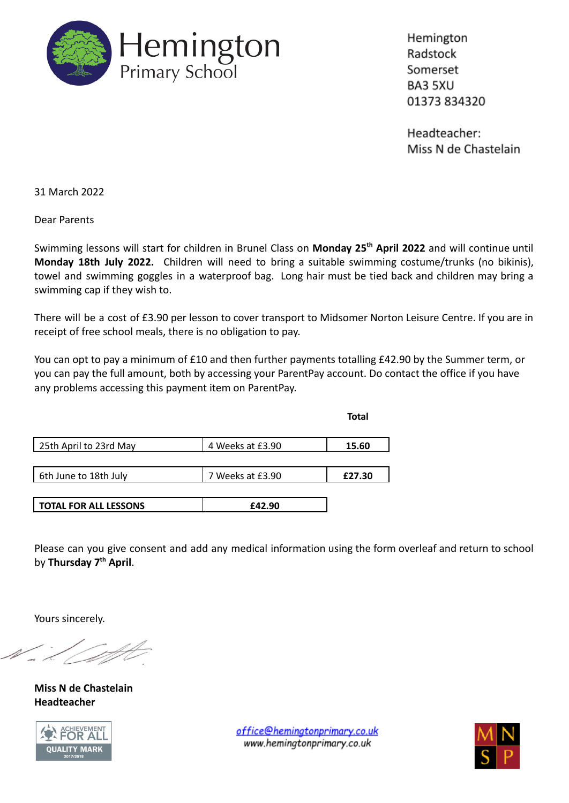

Hemington Radstock Somerset BA3 5XU 01373 834320

Headteacher: Miss N de Chastelain

31 March 2022

Dear Parents

Swimming lessons will start for children in Brunel Class on **Monday 25th April 2022** and will continue until **Monday 18th July 2022.** Children will need to bring a suitable swimming costume/trunks (no bikinis), towel and swimming goggles in a waterproof bag. Long hair must be tied back and children may bring a swimming cap if they wish to.

There will be a cost of £3.90 per lesson to cover transport to Midsomer Norton Leisure Centre. If you are in receipt of free school meals, there is no obligation to pay.

You can opt to pay a minimum of £10 and then further payments totalling £42.90 by the Summer term, or you can pay the full amount, both by accessing your ParentPay account. Do contact the office if you have any problems accessing this payment item on ParentPay.

**Total**

| 25th April to 23rd May       | 4 Weeks at £3.90 | 15.60  |
|------------------------------|------------------|--------|
|                              |                  |        |
| 6th June to 18th July        | 7 Weeks at £3.90 | £27.30 |
|                              |                  |        |
| <b>TOTAL FOR ALL LESSONS</b> | £42.90           |        |

Please can you give consent and add any medical information using the form overleaf and return to school by **Thursday 7th April**.

Yours sincerely.

**Miss N de Chastelain Headteacher**



office@heminatonprimary.co.uk www.hemingtonprimary.co.uk